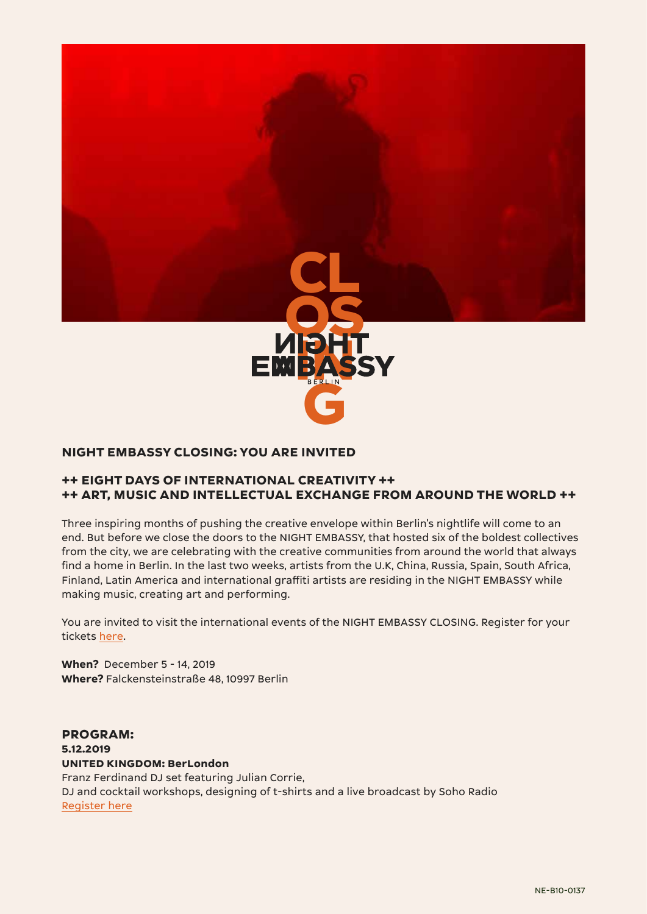

# **NIGHT EMBASSY CLOSING: YOU ARE INVITED**

# **++ EIGHT DAYS OF INTERNATIONAL CREATIVITY ++ ++ ART, MUSIC AND INTELLECTUAL EXCHANGE FROM AROUND THE WORLD ++**

Three inspiring months of pushing the creative envelope within Berlin's nightlife will come to an end. But before we close the doors to the NIGHT EMBASSY, that hosted six of the boldest collectives from the city, we are celebrating with the creative communities from around the world that always find a home in Berlin. In the last two weeks, artists from the U.K, China, Russia, Spain, South Africa, Finland, Latin America and international graffiti artists are residing in the NIGHT EMBASSY while making music, creating art and performing.

You are invited to visit the international events of the NIGHT EMBASSY CLOSING. Register for your tickets [here](https://night-embassy.com/).

**When?** December 5 - 14, 2019 **Where?** Falckensteinstraße 48, 10997 Berlin

**PROGRAM: 5.12.2019 UNITED KINGDOM: BerLondon**  Franz Ferdinand DJ set featuring Julian Corrie, DJ and cocktail workshops, designing of t-shirts and a live broadcast by Soho Radio [Register here](https://www.eventbrite.co.uk/e/night-embassy-closing-present-uk-berlondon-tickets-83311263231)